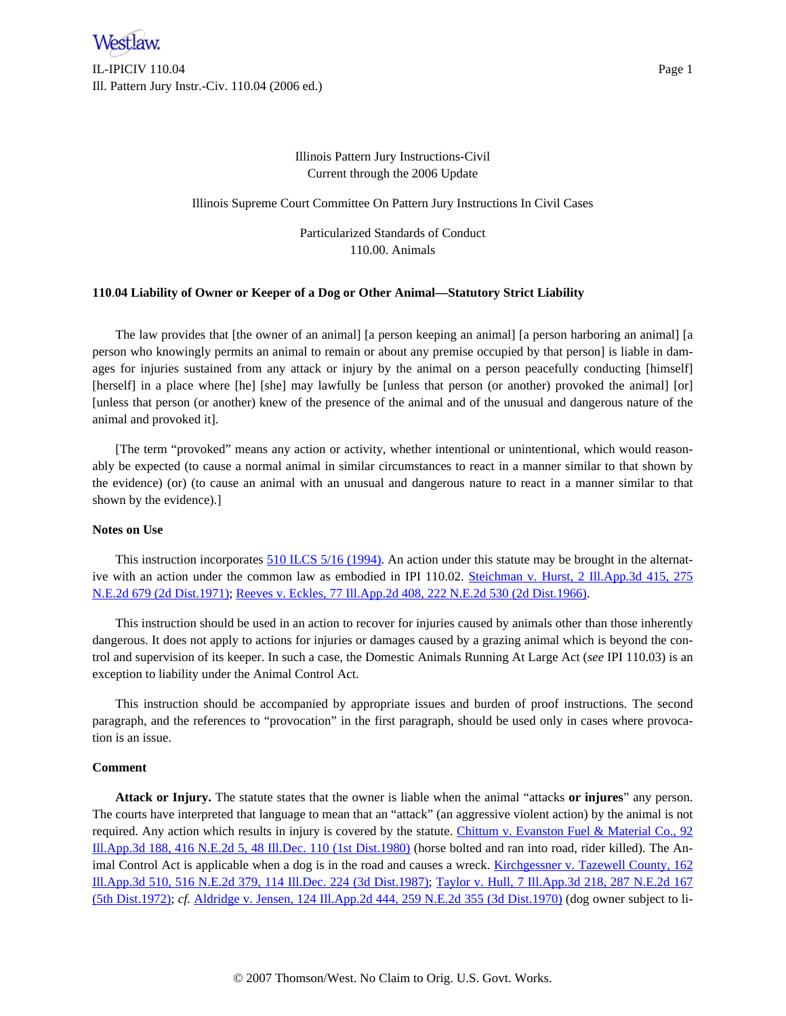

IL-IPICIV 110.04 Page 1 Ill. Pattern Jury Instr.-Civ. 110.04 (2006 ed.)

Illinois Pattern Jury Instructions-Civil Current through the 2006 Update

Illinois Supreme Court Committee On Pattern Jury Instructions In Civil Cases

Particularized Standards of Conduct 110.00. Animals

## **110**.**04 Liability of Owner or Keeper of a Dog or Other Animal—Statutory Strict Liability**

The law provides that [the owner of an animal] [a person keeping an animal] [a person harboring an animal] [a person who knowingly permits an animal to remain or about any premise occupied by that person] is liable in damages for injuries sustained from any attack or injury by the animal on a person peacefully conducting [himself] [herself] in a place where [he] [she] may lawfully be [unless that person (or another) provoked the animal] [or] [unless that person (or another) knew of the presence of the animal and of the unusual and dangerous nature of the animal and provoked it].

[The term "provoked" means any action or activity, whether intentional or unintentional, which would reasonably be expected (to cause a normal animal in similar circumstances to react in a manner similar to that shown by the evidence) (or) (to cause an animal with an unusual and dangerous nature to react in a manner similar to that shown by the evidence).]

## **Notes on Use**

This instruction incorporates 510 ILCS 5/16 [\(1994\)](http://www.westlaw.com/Find/Default.wl?rs=dfa1.0&vr=2.0&DB=1000008&DocName=ILSTC510S5%2F16&FindType=L). An action under this statute may be brought in the alternative with an action under the common law as embodied in IPI 110.02. Steichman v. Hurst, 2 [Ill.App.3d](http://www.westlaw.com/Find/Default.wl?rs=dfa1.0&vr=2.0&DB=0000578&FindType=Y&SerialNum=1971116342) 415, 275 N.E.2d 679 (2d [Dist.1971\);](http://www.westlaw.com/Find/Default.wl?rs=dfa1.0&vr=2.0&DB=0000578&FindType=Y&SerialNum=1971116342) Reeves v. Eckles, 77 Ill.App.2d 408, 222 N.E.2d 530 (2d [Dist.1966\)](http://www.westlaw.com/Find/Default.wl?rs=dfa1.0&vr=2.0&DB=0000578&FindType=Y&SerialNum=1966125183).

This instruction should be used in an action to recover for injuries caused by animals other than those inherently dangerous. It does not apply to actions for injuries or damages caused by a grazing animal which is beyond the control and supervision of its keeper. In such a case, the Domestic Animals Running At Large Act (*see* IPI 110.03) is an exception to liability under the Animal Control Act.

This instruction should be accompanied by appropriate issues and burden of proof instructions. The second paragraph, and the references to "provocation" in the first paragraph, should be used only in cases where provocation is an issue.

## **Comment**

**Attack or Injury.** The statute states that the owner is liable when the animal "attacks **or injures**" any person. The courts have interpreted that language to mean that an "attack" (an aggressive violent action) by the animal is not required. Any action which results in injury is covered by the statute. Chittum v. [Evanston](http://www.westlaw.com/Find/Default.wl?rs=dfa1.0&vr=2.0&DB=0000438&FindType=Y&SerialNum=1980152123) Fuel & Material Co., 92 [Ill.App.3d](http://www.westlaw.com/Find/Default.wl?rs=dfa1.0&vr=2.0&DB=0000438&FindType=Y&SerialNum=1980152123) 188, 416 N.E.2d 5, 48 Ill.Dec. 110 (1st Dist.1980) (horse bolted and ran into road, rider killed). The An-imal Control Act is applicable when a dog is in the road and causes a wreck. [Kirchgessner](http://www.westlaw.com/Find/Default.wl?rs=dfa1.0&vr=2.0&DB=0000438&FindType=Y&SerialNum=1987154997) v. Tazewell County, 162 [Ill.App.3d](http://www.westlaw.com/Find/Default.wl?rs=dfa1.0&vr=2.0&DB=0000438&FindType=Y&SerialNum=1987154997) 510, 516 N.E.2d 379, 114 Ill.Dec. 224 (3d Dist.1987); Taylor v. Hull, 7 [Ill.App.3d](http://www.westlaw.com/Find/Default.wl?rs=dfa1.0&vr=2.0&DB=0000578&FindType=Y&SerialNum=1972115657) 218, 287 N.E.2d 167 (5th [Dist.1972\)](http://www.westlaw.com/Find/Default.wl?rs=dfa1.0&vr=2.0&DB=0000578&FindType=Y&SerialNum=1972115657); *cf.* Aldridge v. Jensen, 124 Ill.App.2d 444, 259 N.E.2d 355 (3d [Dist.1970\)](http://www.westlaw.com/Find/Default.wl?rs=dfa1.0&vr=2.0&DB=0000578&FindType=Y&SerialNum=1970122797) (dog owner subject to li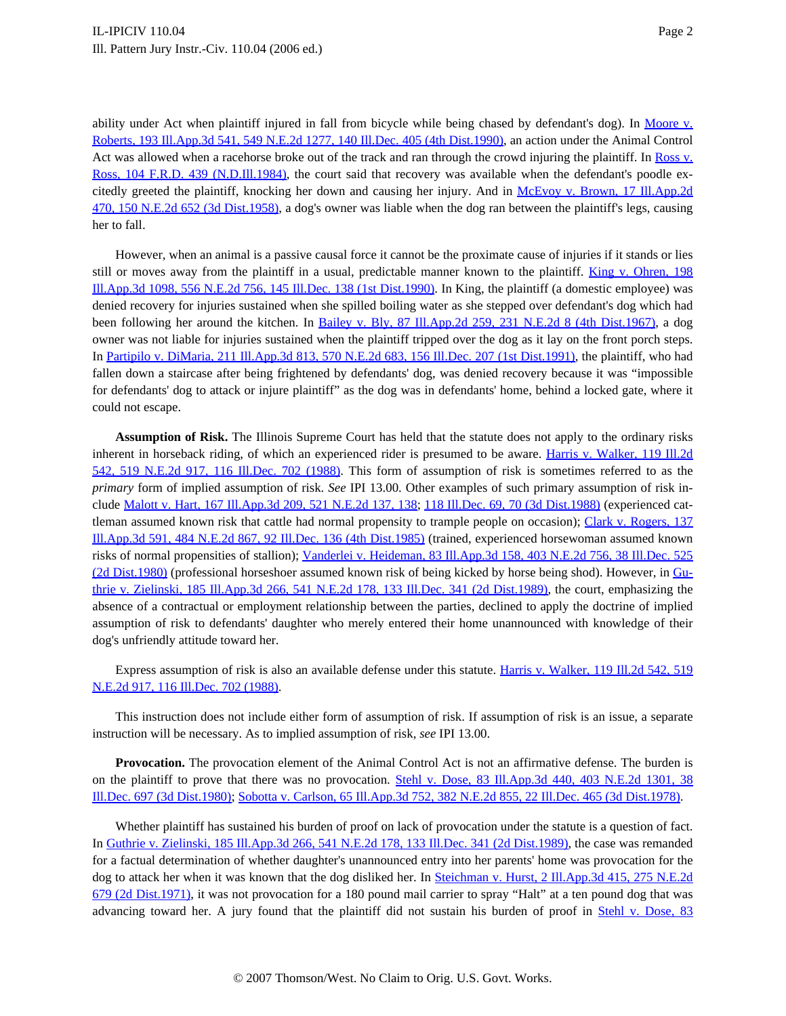ability under Act when plaintiff injured in fall from bicycle while being chased by defendant's dog). In Mo[ore](http://www.westlaw.com/Find/Default.wl?rs=dfa1.0&vr=2.0&DB=0000438&FindType=Y&SerialNum=1990020817) v. Roberts, 193 Ill.App.3d 541, 549 N.E.2d 1277, 140 Ill.Dec. 405 (4th [Dist.1990\)](http://www.westlaw.com/Find/Default.wl?rs=dfa1.0&vr=2.0&DB=0000438&FindType=Y&SerialNum=1990020817), an action under the Animal Control Act was allowed when a racehorse broke out of the track and ran through the crowd injuring the plaintiff. In [Ross](http://www.westlaw.com/Find/Default.wl?rs=dfa1.0&vr=2.0&DB=0000344&FindType=Y&SerialNum=1985107252) v. Ross, 104 F.R.D. 439 [\(N.D.Ill.1984](http://www.westlaw.com/Find/Default.wl?rs=dfa1.0&vr=2.0&DB=0000344&FindType=Y&SerialNum=1985107252)), the court said that recovery was available when the defendant's poodle excitedly greeted the plaintiff, knocking her down and causing her injury. And in McEvoy v. Brown, 17 [Ill.App.2d](http://www.westlaw.com/Find/Default.wl?rs=dfa1.0&vr=2.0&DB=0000578&FindType=Y&SerialNum=1958112662) 470, 150 N.E.2d 652 (3d [Dist.1958\)](http://www.westlaw.com/Find/Default.wl?rs=dfa1.0&vr=2.0&DB=0000578&FindType=Y&SerialNum=1958112662), a dog's owner was liable when the dog ran between the plaintiff's legs, causing her to fall.

However, when an animal is a passive causal force it cannot be the proximate cause of injuries if it stands or lies still or moves away from the plaintiff in a usual, predictable manner known to the plaintiff. King v. [Ohren,](http://www.westlaw.com/Find/Default.wl?rs=dfa1.0&vr=2.0&DB=0000438&FindType=Y&SerialNum=1990081483) 198 [Ill.App.3d](http://www.westlaw.com/Find/Default.wl?rs=dfa1.0&vr=2.0&DB=0000438&FindType=Y&SerialNum=1990081483) 1098, 556 N.E.2d 756, 145 Ill.Dec. 138 (1st Dist.1990). In King, the plaintiff (a domestic employee) was denied recovery for injuries sustained when she spilled boiling water as she stepped over defendant's dog which had been following her around the kitchen. In Bailey v. Bly, 87 [Ill.App.2d](http://www.westlaw.com/Find/Default.wl?rs=dfa1.0&vr=2.0&DB=0000578&FindType=Y&SerialNum=1967120999) 259, 231 N.E.2d 8 (4th Dist.1967), a dog owner was not liable for injuries sustained when the plaintiff tripped over the dog as it lay on the front porch steps. In Partipilo v. DiMaria, 211 [Ill.App.3d](http://www.westlaw.com/Find/Default.wl?rs=dfa1.0&vr=2.0&DB=0000438&FindType=Y&SerialNum=1991063608) 813, 570 N.E.2d 683, 156 Ill.Dec. 207 (1st Dist.1991), the plaintiff, who had fallen down a staircase after being frightened by defendants' dog, was denied recovery because it was "impossible for defendants' dog to attack or injure plaintiff" as the dog was in defendants' home, behind a locked gate, where it could not escape.

**Assumption of Risk.** The Illinois Supreme Court has held that the statute does not apply to the ordinary risks inherent in horseback riding, of which an experienced rider is presumed to be aware. Harris v. [Walker,](http://www.westlaw.com/Find/Default.wl?rs=dfa1.0&vr=2.0&DB=0000438&FindType=Y&SerialNum=1988020777) 119 Ill.2d 542, 519 N.E.2d 917, 116 [Ill.Dec.](http://www.westlaw.com/Find/Default.wl?rs=dfa1.0&vr=2.0&DB=0000438&FindType=Y&SerialNum=1988020777) 702 (1988). This form of assumption of risk is sometimes referred to as the *primary* form of implied assumption of risk. *See* IPI 13.00. Other examples of such primary assumption of risk include Malott v. Hart, 167 [Ill.App.3d](http://www.westlaw.com/Find/Default.wl?rs=dfa1.0&vr=2.0&DB=0000578&FindType=Y&ReferencePositionType=S&SerialNum=1988034193&ReferencePosition=138) 209, 521 N.E.2d 137, 138; 118 Ill.Dec. 69, 70 (3d [Dist.1988\)](http://www.westlaw.com/Find/Default.wl?rs=dfa1.0&vr=2.0&DB=0000438&FindType=Y&ReferencePositionType=S&SerialNum=1988034193&ReferencePosition=70) (experienced cat-tleman assumed known risk that cattle had normal propensity to trample people on occasion); Clark v. [Rogers,](http://www.westlaw.com/Find/Default.wl?rs=dfa1.0&vr=2.0&DB=0000438&FindType=Y&SerialNum=1985149484) 137 [Ill.App.3d](http://www.westlaw.com/Find/Default.wl?rs=dfa1.0&vr=2.0&DB=0000438&FindType=Y&SerialNum=1985149484) 591, 484 N.E.2d 867, 92 Ill.Dec. 136 (4th Dist.1985) (trained, experienced horsewoman assumed known risks of normal propensities of stallion); Vanderlei v. [Heideman,](http://www.westlaw.com/Find/Default.wl?rs=dfa1.0&vr=2.0&DB=0000438&FindType=Y&SerialNum=1980111706) 83 Ill.App.3d 158, 403 N.E.2d 756, 38 Ill.Dec. 525 (2d [Dist.1980\)](http://www.westlaw.com/Find/Default.wl?rs=dfa1.0&vr=2.0&DB=0000438&FindType=Y&SerialNum=1980111706) (professional horseshoer assumed known risk of being kicked by horse being shod). However, in [Gu](http://www.westlaw.com/Find/Default.wl?rs=dfa1.0&vr=2.0&DB=0000438&FindType=Y&SerialNum=1989098465)thrie v. Zielinski, 185 [Ill.App.3d](http://www.westlaw.com/Find/Default.wl?rs=dfa1.0&vr=2.0&DB=0000438&FindType=Y&SerialNum=1989098465) 266, 541 N.E.2d 178, 133 Ill.Dec. 341 (2d Dist.1989), the court, emphasizing the absence of a contractual or employment relationship between the parties, declined to apply the doctrine of implied assumption of risk to defendants' daughter who merely entered their home unannounced with knowledge of their dog's unfriendly attitude toward her.

Express assumption of risk is also an available defense under this statute. Harris v. [Walker,](http://www.westlaw.com/Find/Default.wl?rs=dfa1.0&vr=2.0&DB=0000438&FindType=Y&SerialNum=1988020777) 119 Ill.2d 542, 519 N.E.2d 917, 116 [Ill.Dec.](http://www.westlaw.com/Find/Default.wl?rs=dfa1.0&vr=2.0&DB=0000438&FindType=Y&SerialNum=1988020777) 702 (1988).

This instruction does not include either form of assumption of risk. If assumption of risk is an issue, a separate instruction will be necessary. As to implied assumption of risk, *see* IPI 13.00.

**Provocation.** The provocation element of the Animal Control Act is not an affirmative defense. The burden is on the plaintiff to prove that there was no provocation. Stehl v. Dose, 83 [Ill.App.3d](http://www.westlaw.com/Find/Default.wl?rs=dfa1.0&vr=2.0&DB=0000438&FindType=Y&SerialNum=1980317180) 440, 403 N.E.2d 1301, 38 Ill.Dec. 697 (3d [Dist.1980\)](http://www.westlaw.com/Find/Default.wl?rs=dfa1.0&vr=2.0&DB=0000438&FindType=Y&SerialNum=1980317180); Sobotta v. Carlson, 65 Ill.App.3d 752, 382 N.E.2d 855, 22 Ill.Dec. 465 (3d [Dist.1978\)](http://www.westlaw.com/Find/Default.wl?rs=dfa1.0&vr=2.0&DB=0000438&FindType=Y&SerialNum=1978140574).

Whether plaintiff has sustained his burden of proof on lack of provocation under the statute is a question of fact. In Guthrie v. Zielinski, 185 Ill.App.3d 266, 541 N.E.2d 178, 133 Ill.Dec. 341 (2d [Dist.1989\)](http://www.westlaw.com/Find/Default.wl?rs=dfa1.0&vr=2.0&DB=0000438&FindType=Y&SerialNum=1989098465), the case was remanded for a factual determination of whether daughter's unannounced entry into her parents' home was provocation for the dog to attack her when it was known that the dog disliked her. In Steichman v. Hurst, 2 [Ill.App.3d](http://www.westlaw.com/Find/Default.wl?rs=dfa1.0&vr=2.0&DB=0000578&FindType=Y&SerialNum=1971116342) 415, 275 N.E.2d 679 (2d [Dist.1971\)](http://www.westlaw.com/Find/Default.wl?rs=dfa1.0&vr=2.0&DB=0000578&FindType=Y&SerialNum=1971116342), it was not provocation for a 180 pound mail carrier to spray "Halt" at a ten pound dog that was advancing toward her. A jury found that the plaintiff did not sustain his burden of proof in Stehl v. Dose, 83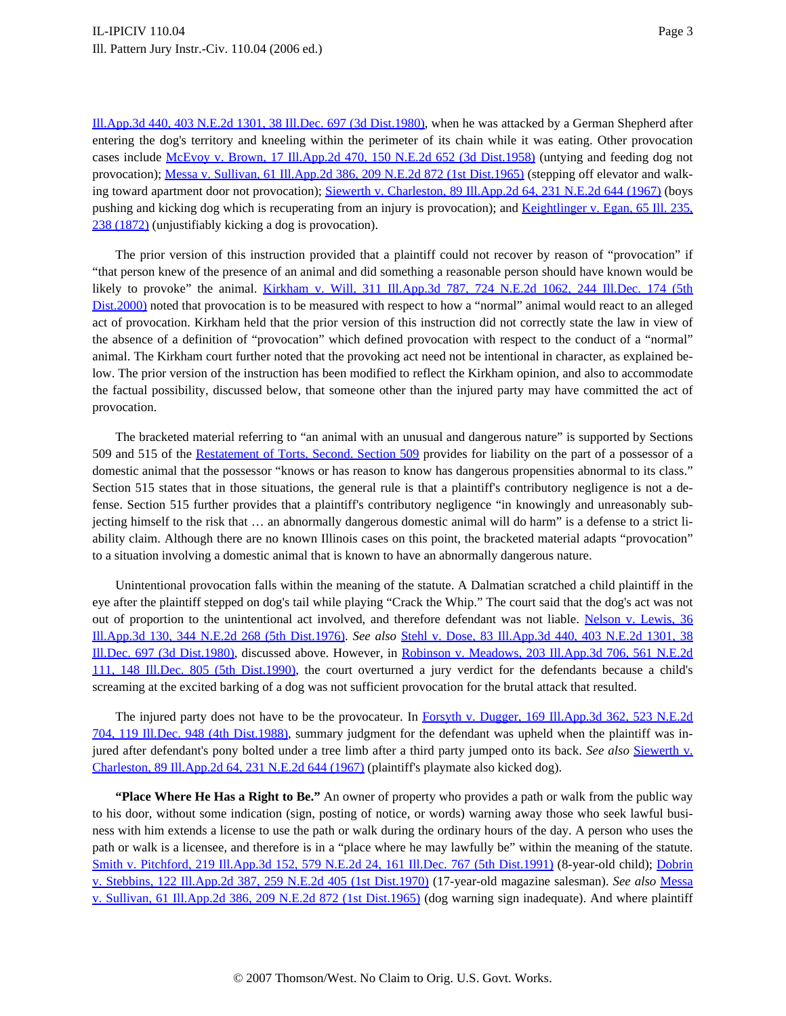Ill.App.3d 440, 403 N.E.2d 1301, 38 Ill.Dec. 697 (3d [Dist.1980\)](http://www.westlaw.com/Find/Default.wl?rs=dfa1.0&vr=2.0&DB=0000438&FindType=Y&SerialNum=1980317180), when he was attacked by a German Shepherd after entering the dog's territory and kneeling within the perimeter of its chain while it was eating. Other provocation cases include McEvoy v. Brown, 17 [Ill.App.2d](http://www.westlaw.com/Find/Default.wl?rs=dfa1.0&vr=2.0&DB=0000578&FindType=Y&SerialNum=1958112662) 470, 150 N.E.2d 652 (3d Dist.1958) (untying and feeding dog not provocation); Messa v. Sullivan, 61 [Ill.App.2d](http://www.westlaw.com/Find/Default.wl?rs=dfa1.0&vr=2.0&DB=0000578&FindType=Y&SerialNum=1965117024) 386, 209 N.E.2d 872 (1st Dist.1965) (stepping off elevator and walk-ing toward apartment door not provocation); Siewerth v. [Charleston,](http://www.westlaw.com/Find/Default.wl?rs=dfa1.0&vr=2.0&DB=0000578&FindType=Y&SerialNum=1967121188) 89 Ill.App.2d 64, 231 N.E.2d 644 (1967) (boys pushing and kicking dog which is recuperating from an injury is provocation); and [Keightlinger](http://www.westlaw.com/Find/Default.wl?rs=dfa1.0&vr=2.0&DB=0000432&FindType=Y&ReferencePositionType=S&SerialNum=1872015872&ReferencePosition=238) v. Egan, 65 Ill. 235, 238 [\(1872\)](http://www.westlaw.com/Find/Default.wl?rs=dfa1.0&vr=2.0&DB=0000432&FindType=Y&ReferencePositionType=S&SerialNum=1872015872&ReferencePosition=238) (unjustifiably kicking a dog is provocation).

The prior version of this instruction provided that a plaintiff could not recover by reason of "provocation" if "that person knew of the presence of an animal and did something a reasonable person should have known would be likely to provoke" the animal. Kirkham v. Will, 311 [Ill.App.3d](http://www.westlaw.com/Find/Default.wl?rs=dfa1.0&vr=2.0&DB=0000438&FindType=Y&SerialNum=2000059297) 787, 724 N.E.2d 1062, 244 Ill.Dec. 174 (5th [Dist.2000\)](http://www.westlaw.com/Find/Default.wl?rs=dfa1.0&vr=2.0&DB=0000438&FindType=Y&SerialNum=2000059297) noted that provocation is to be measured with respect to how a "normal" animal would react to an alleged act of provocation. Kirkham held that the prior version of this instruction did not correctly state the law in view of the absence of a definition of "provocation" which defined provocation with respect to the conduct of a "normal" animal. The Kirkham court further noted that the provoking act need not be intentional in character, as explained below. The prior version of the instruction has been modified to reflect the Kirkham opinion, and also to accommodate the factual possibility, discussed below, that someone other than the injured party may have committed the act of provocation.

The bracketed material referring to "an animal with an unusual and dangerous nature" is supported by Sections 509 and 515 of the [Restatement](http://www.westlaw.com/Find/Default.wl?rs=dfa1.0&vr=2.0&DB=0101577&FindType=Y&SerialNum=0294806433) of Torts, Second. Section 509 provides for liability on the part of a possessor of a domestic animal that the possessor "knows or has reason to know has dangerous propensities abnormal to its class." Section 515 states that in those situations, the general rule is that a plaintiff's contributory negligence is not a defense. Section 515 further provides that a plaintiff's contributory negligence "in knowingly and unreasonably subjecting himself to the risk that … an abnormally dangerous domestic animal will do harm" is a defense to a strict liability claim. Although there are no known Illinois cases on this point, the bracketed material adapts "provocation" to a situation involving a domestic animal that is known to have an abnormally dangerous nature.

Unintentional provocation falls within the meaning of the statute. A Dalmatian scratched a child plaintiff in the eye after the plaintiff stepped on dog's tail while playing "Crack the Whip." The court said that the dog's act was not out of proportion to the unintentional act involved, and therefore defendant was not liable. Nelson v. [Lewis,](http://www.westlaw.com/Find/Default.wl?rs=dfa1.0&vr=2.0&DB=0000578&FindType=Y&SerialNum=1976106743) 36 [Ill.App.3d](http://www.westlaw.com/Find/Default.wl?rs=dfa1.0&vr=2.0&DB=0000578&FindType=Y&SerialNum=1976106743) 130, 344 N.E.2d 268 (5th Dist.1976). *See also* Stehl v. Dose, 83 [Ill.App.3d](http://www.westlaw.com/Find/Default.wl?rs=dfa1.0&vr=2.0&DB=0000438&FindType=Y&SerialNum=1980317180) 440, 403 N.E.2d 1301, 38 Ill.Dec. 697 (3d [Dist.1980\)](http://www.westlaw.com/Find/Default.wl?rs=dfa1.0&vr=2.0&DB=0000438&FindType=Y&SerialNum=1980317180), discussed above. However, in Robinson v. [Meadows,](http://www.westlaw.com/Find/Default.wl?rs=dfa1.0&vr=2.0&DB=0000438&FindType=Y&SerialNum=1990122925) 203 Ill.App.3d 706, 561 N.E.2d 111, 148 Ill.Dec. 805 (5th [Dist.199](http://www.westlaw.com/Find/Default.wl?rs=dfa1.0&vr=2.0&DB=0000438&FindType=Y&SerialNum=1990122925)0), the court overturned a jury verdict for the defendants because a child's screaming at the excited barking of a dog was not sufficient provocation for the brutal attack that resulted.

The injured party does not have to be the provocateur. In Forsyth v. Dugger, 169 [Ill.App.3d](http://www.westlaw.com/Find/Default.wl?rs=dfa1.0&vr=2.0&DB=0000438&FindType=Y&SerialNum=1988064166) 362, 523 N.E.2d 704, 119 Ill.Dec. 948 (4th [Dist.1988](http://www.westlaw.com/Find/Default.wl?rs=dfa1.0&vr=2.0&DB=0000438&FindType=Y&SerialNum=1988064166)), summary judgment for the defendant was upheld when the plaintiff was injured after defendant's pony bolted under a tree limb after a third party jumped onto its back. *See also* Sie[werth](http://www.westlaw.com/Find/Default.wl?rs=dfa1.0&vr=2.0&DB=0000578&FindType=Y&SerialNum=1967121188) v. [Charleston,](http://www.westlaw.com/Find/Default.wl?rs=dfa1.0&vr=2.0&DB=0000578&FindType=Y&SerialNum=1967121188) 89 Ill.App.2d 64, 231 N.E.2d 644 (1967) (plaintiff's playmate also kicked dog).

**"Place Where He Has a Right to Be."** An owner of property who provides a path or walk from the public way to his door, without some indication (sign, posting of notice, or words) warning away those who seek lawful business with him extends a license to use the path or walk during the ordinary hours of the day. A person who uses the path or walk is a licensee, and therefore is in a "place where he may lawfully be" within the meaning of the statute. Smith v. Pitchford, 219 [Ill.App.3d](http://www.westlaw.com/Find/Default.wl?rs=dfa1.0&vr=2.0&DB=0000438&FindType=Y&SerialNum=1991159113) 152, 579 N.E.2d 24, 161 Ill.Dec. 767 (5th Dist.1991) (8-year-old child); D[obrin](http://www.westlaw.com/Find/Default.wl?rs=dfa1.0&vr=2.0&DB=0000578&FindType=Y&SerialNum=1970122814) v. Stebbins, 122 [Ill.App.2d](http://www.westlaw.com/Find/Default.wl?rs=dfa1.0&vr=2.0&DB=0000578&FindType=Y&SerialNum=1970122814) 387, 259 N.E.2d 405 (1st Dist.1970) (17-year-old magazine salesman). *See also* M[essa](http://www.westlaw.com/Find/Default.wl?rs=dfa1.0&vr=2.0&DB=0000578&FindType=Y&SerialNum=1965117024) v. Sullivan, 61 [Ill.App.2d](http://www.westlaw.com/Find/Default.wl?rs=dfa1.0&vr=2.0&DB=0000578&FindType=Y&SerialNum=1965117024) 386, 209 N.E.2d 872 (1st Dist.1965) (dog warning sign inadequate). And where plaintiff